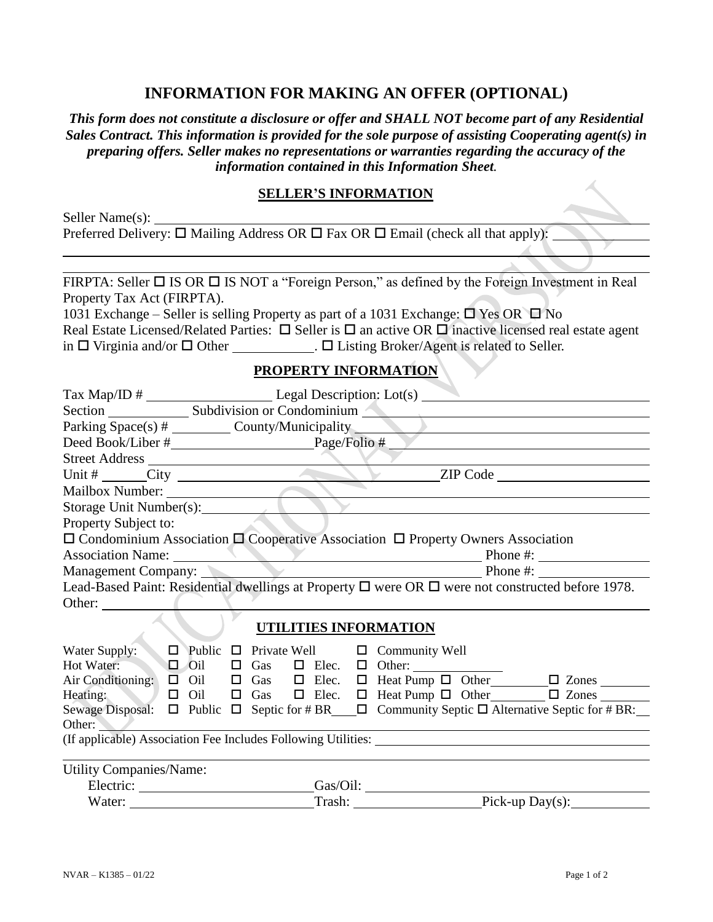## **INFORMATION FOR MAKING AN OFFER (OPTIONAL)**

*This form does not constitute a disclosure or offer and SHALL NOT become part of any Residential Sales Contract. This information is provided for the sole purpose of assisting Cooperating agent(s) in preparing offers. Seller makes no representations or warranties regarding the accuracy of the information contained in this Information Sheet.*

## **SELLER'S INFORMATION**

| Seller Name(s):                                                                                                       |  |
|-----------------------------------------------------------------------------------------------------------------------|--|
| Preferred Delivery: $\Box$ Mailing Address OR $\Box$ Fax OR $\Box$ Email (check all that apply):                      |  |
|                                                                                                                       |  |
|                                                                                                                       |  |
| FIRPTA: Seller $\Box$ IS OR $\Box$ IS NOT a "Foreign Person," as defined by the Foreign Investment in Real            |  |
| Property Tax Act (FIRPTA).                                                                                            |  |
| 1031 Exchange – Seller is selling Property as part of a 1031 Exchange: $\Box$ Yes OR $\Box$ No                        |  |
| Real Estate Licensed/Related Parties: $\Box$ Seller is $\Box$ an active OR $\Box$ inactive licensed real estate agent |  |
| in $\Box$ Virginia and/or $\Box$ Other $\Box$ Listing Broker/Agent is related to Seller.                              |  |
|                                                                                                                       |  |

## **PROPERTY INFORMATION**

|                                                                                                             | Section Subdivision or Condominium    |                                            |  |  |  |  |                                                                                                                                                                                  |  |  |
|-------------------------------------------------------------------------------------------------------------|---------------------------------------|--------------------------------------------|--|--|--|--|----------------------------------------------------------------------------------------------------------------------------------------------------------------------------------|--|--|
| Parking Space(s) # _________ County/Municipality _______________________________                            |                                       |                                            |  |  |  |  |                                                                                                                                                                                  |  |  |
|                                                                                                             |                                       |                                            |  |  |  |  |                                                                                                                                                                                  |  |  |
|                                                                                                             |                                       |                                            |  |  |  |  |                                                                                                                                                                                  |  |  |
|                                                                                                             |                                       | Street Address Unit # City Code 2IP Code 2 |  |  |  |  |                                                                                                                                                                                  |  |  |
| Mailbox Number: 1988                                                                                        |                                       |                                            |  |  |  |  |                                                                                                                                                                                  |  |  |
| Storage Unit Number(s):                                                                                     |                                       |                                            |  |  |  |  |                                                                                                                                                                                  |  |  |
| Property Subject to:                                                                                        |                                       |                                            |  |  |  |  |                                                                                                                                                                                  |  |  |
| $\square$ Condominium Association $\square$ Cooperative Association $\square$ Property Owners Association   |                                       |                                            |  |  |  |  |                                                                                                                                                                                  |  |  |
|                                                                                                             |                                       |                                            |  |  |  |  | Association Name: Phone #:                                                                                                                                                       |  |  |
|                                                                                                             | Management Company: Phone #: Phone #: |                                            |  |  |  |  |                                                                                                                                                                                  |  |  |
| Lead-Based Paint: Residential dwellings at Property $\Box$ were OR $\Box$ were not constructed before 1978. |                                       |                                            |  |  |  |  |                                                                                                                                                                                  |  |  |
| Other:                                                                                                      |                                       |                                            |  |  |  |  |                                                                                                                                                                                  |  |  |
| <b>UTILITIES INFORMATION</b>                                                                                |                                       |                                            |  |  |  |  |                                                                                                                                                                                  |  |  |
| Water Supply: $\Box$ Public $\Box$ Private Well $\Box$ Community Well                                       |                                       |                                            |  |  |  |  |                                                                                                                                                                                  |  |  |
|                                                                                                             |                                       |                                            |  |  |  |  |                                                                                                                                                                                  |  |  |
|                                                                                                             |                                       |                                            |  |  |  |  | Hot Water: $\Box$ Oil $\Box$ Gas $\Box$ Elec. $\Box$ Other: $\Box$ Other: $\Box$ Air Conditioning: $\Box$ Oil $\Box$ Gas $\Box$ Elec. $\Box$ Heat Pump $\Box$ Other $\Box$ Zones |  |  |
|                                                                                                             |                                       |                                            |  |  |  |  | Heating: $\Box$ Oil $\Box$ Gas $\Box$ Elec. $\Box$ Heat Pump $\Box$ Other $\Box$ Zones                                                                                           |  |  |
|                                                                                                             |                                       |                                            |  |  |  |  | Sewage Disposal: □ Public □ Septic for # BR___□ Community Septic □ Alternative Septic for # BR:__                                                                                |  |  |
| Other:                                                                                                      |                                       |                                            |  |  |  |  |                                                                                                                                                                                  |  |  |
|                                                                                                             |                                       |                                            |  |  |  |  |                                                                                                                                                                                  |  |  |
| Utility Companies/Name:                                                                                     |                                       |                                            |  |  |  |  |                                                                                                                                                                                  |  |  |
|                                                                                                             |                                       |                                            |  |  |  |  |                                                                                                                                                                                  |  |  |
| Water:                                                                                                      |                                       |                                            |  |  |  |  | Trash: Pick-up Day(s):                                                                                                                                                           |  |  |